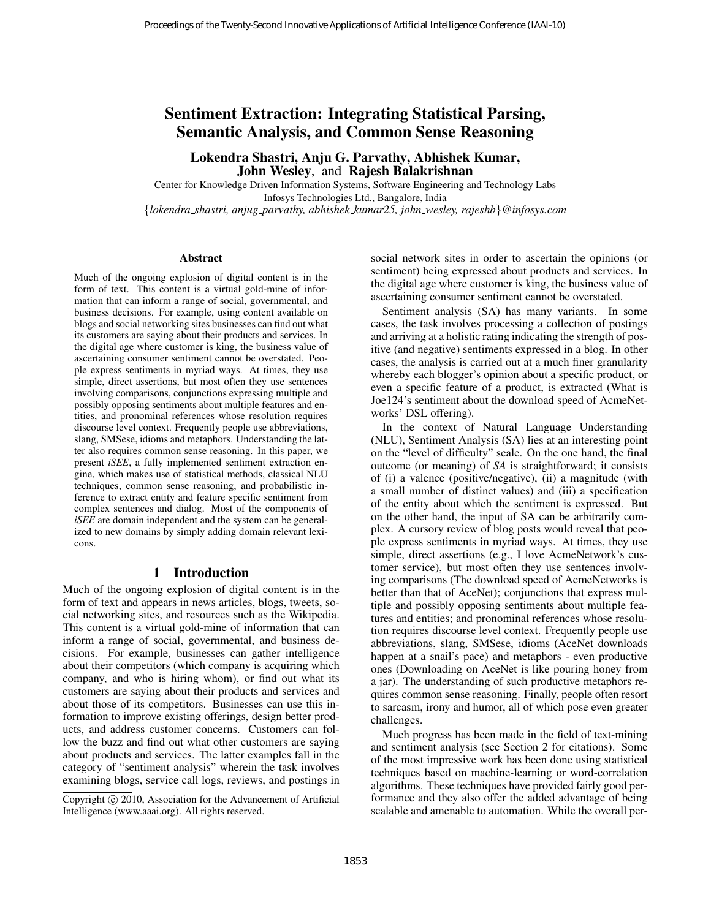# Sentiment Extraction: Integrating Statistical Parsing, Semantic Analysis, and Common Sense Reasoning

### Lokendra Shastri, Anju G. Parvathy, Abhishek Kumar, John Wesley, and Rajesh Balakrishnan

Center for Knowledge Driven Information Systems, Software Engineering and Technology Labs Infosys Technologies Ltd., Bangalore, India {*lokendra shastri, anjug parvathy, abhishek kumar25, john wesley, rajeshb*}*@infosys.com*

#### **Abstract**

Much of the ongoing explosion of digital content is in the form of text. This content is a virtual gold-mine of information that can inform a range of social, governmental, and business decisions. For example, using content available on blogs and social networking sites businesses can find out what its customers are saying about their products and services. In the digital age where customer is king, the business value of ascertaining consumer sentiment cannot be overstated. People express sentiments in myriad ways. At times, they use simple, direct assertions, but most often they use sentences involving comparisons, conjunctions expressing multiple and possibly opposing sentiments about multiple features and entities, and pronominal references whose resolution requires discourse level context. Frequently people use abbreviations, slang, SMSese, idioms and metaphors. Understanding the latter also requires common sense reasoning. In this paper, we present *iSEE*, a fully implemented sentiment extraction engine, which makes use of statistical methods, classical NLU techniques, common sense reasoning, and probabilistic inference to extract entity and feature specific sentiment from complex sentences and dialog. Most of the components of *iSEE* are domain independent and the system can be generalized to new domains by simply adding domain relevant lexicons.

#### 1 Introduction

Much of the ongoing explosion of digital content is in the form of text and appears in news articles, blogs, tweets, social networking sites, and resources such as the Wikipedia. This content is a virtual gold-mine of information that can inform a range of social, governmental, and business decisions. For example, businesses can gather intelligence about their competitors (which company is acquiring which company, and who is hiring whom), or find out what its customers are saying about their products and services and about those of its competitors. Businesses can use this information to improve existing offerings, design better products, and address customer concerns. Customers can follow the buzz and find out what other customers are saying about products and services. The latter examples fall in the category of "sentiment analysis" wherein the task involves examining blogs, service call logs, reviews, and postings in

social network sites in order to ascertain the opinions (or sentiment) being expressed about products and services. In the digital age where customer is king, the business value of ascertaining consumer sentiment cannot be overstated.

Sentiment analysis (SA) has many variants. In some cases, the task involves processing a collection of postings and arriving at a holistic rating indicating the strength of positive (and negative) sentiments expressed in a blog. In other cases, the analysis is carried out at a much finer granularity whereby each blogger's opinion about a specific product, or even a specific feature of a product, is extracted (What is Joe124's sentiment about the download speed of AcmeNetworks' DSL offering).

In the context of Natural Language Understanding (NLU), Sentiment Analysis (SA) lies at an interesting point on the "level of difficulty" scale. On the one hand, the final outcome (or meaning) of *SA* is straightforward; it consists of (i) a valence (positive/negative), (ii) a magnitude (with a small number of distinct values) and (iii) a specification of the entity about which the sentiment is expressed. But on the other hand, the input of SA can be arbitrarily complex. A cursory review of blog posts would reveal that people express sentiments in myriad ways. At times, they use simple, direct assertions (e.g., I love AcmeNetwork's customer service), but most often they use sentences involving comparisons (The download speed of AcmeNetworks is better than that of AceNet); conjunctions that express multiple and possibly opposing sentiments about multiple features and entities; and pronominal references whose resolution requires discourse level context. Frequently people use abbreviations, slang, SMSese, idioms (AceNet downloads happen at a snail's pace) and metaphors - even productive ones (Downloading on AceNet is like pouring honey from a jar). The understanding of such productive metaphors requires common sense reasoning. Finally, people often resort to sarcasm, irony and humor, all of which pose even greater challenges. Proceedings of the Twenty-Second Innovative Applications of Artificial Interligence Conference (IAAI-11)<br>
Semantric Analysis, and Common Sense Reussoning<br>
Lokendra Sharifat, Anju G. Parvadity Abbilishes Kumar,<br>
Course for

Much progress has been made in the field of text-mining and sentiment analysis (see Section 2 for citations). Some of the most impressive work has been done using statistical techniques based on machine-learning or word-correlation algorithms. These techniques have provided fairly good performance and they also offer the added advantage of being scalable and amenable to automation. While the overall per-

Copyright © 2010, Association for the Advancement of Artificial Intelligence (www.aaai.org). All rights reserved.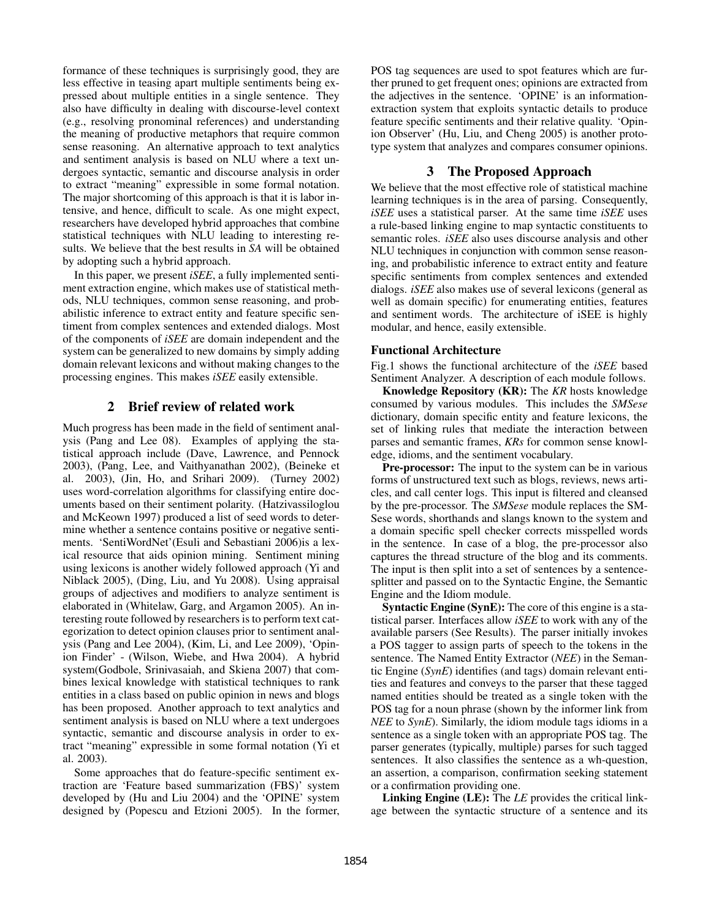formance of these techniques is surprisingly good, they are less effective in teasing apart multiple sentiments being expressed about multiple entities in a single sentence. They also have difficulty in dealing with discourse-level context (e.g., resolving pronominal references) and understanding the meaning of productive metaphors that require common sense reasoning. An alternative approach to text analytics and sentiment analysis is based on NLU where a text undergoes syntactic, semantic and discourse analysis in order to extract "meaning" expressible in some formal notation. The major shortcoming of this approach is that it is labor intensive, and hence, difficult to scale. As one might expect, researchers have developed hybrid approaches that combine statistical techniques with NLU leading to interesting results. We believe that the best results in *SA* will be obtained by adopting such a hybrid approach.

In this paper, we present *iSEE*, a fully implemented sentiment extraction engine, which makes use of statistical methods, NLU techniques, common sense reasoning, and probabilistic inference to extract entity and feature specific sentiment from complex sentences and extended dialogs. Most of the components of *iSEE* are domain independent and the system can be generalized to new domains by simply adding domain relevant lexicons and without making changes to the processing engines. This makes *iSEE* easily extensible.

## 2 Brief review of related work

Much progress has been made in the field of sentiment analysis (Pang and Lee 08). Examples of applying the statistical approach include (Dave, Lawrence, and Pennock 2003), (Pang, Lee, and Vaithyanathan 2002), (Beineke et al. 2003), (Jin, Ho, and Srihari 2009). (Turney 2002) uses word-correlation algorithms for classifying entire documents based on their sentiment polarity. (Hatzivassiloglou and McKeown 1997) produced a list of seed words to determine whether a sentence contains positive or negative sentiments. 'SentiWordNet'(Esuli and Sebastiani 2006)is a lexical resource that aids opinion mining. Sentiment mining using lexicons is another widely followed approach (Yi and Niblack 2005), (Ding, Liu, and Yu 2008). Using appraisal groups of adjectives and modifiers to analyze sentiment is elaborated in (Whitelaw, Garg, and Argamon 2005). An interesting route followed by researchers is to perform text categorization to detect opinion clauses prior to sentiment analysis (Pang and Lee 2004), (Kim, Li, and Lee 2009), 'Opinion Finder' - (Wilson, Wiebe, and Hwa 2004). A hybrid system(Godbole, Srinivasaiah, and Skiena 2007) that combines lexical knowledge with statistical techniques to rank entities in a class based on public opinion in news and blogs has been proposed. Another approach to text analytics and sentiment analysis is based on NLU where a text undergoes syntactic, semantic and discourse analysis in order to extract "meaning" expressible in some formal notation (Yi et al. 2003).

Some approaches that do feature-specific sentiment extraction are 'Feature based summarization (FBS)' system developed by (Hu and Liu 2004) and the 'OPINE' system designed by (Popescu and Etzioni 2005). In the former, POS tag sequences are used to spot features which are further pruned to get frequent ones; opinions are extracted from the adjectives in the sentence. 'OPINE' is an informationextraction system that exploits syntactic details to produce feature specific sentiments and their relative quality. 'Opinion Observer' (Hu, Liu, and Cheng 2005) is another prototype system that analyzes and compares consumer opinions.

# 3 The Proposed Approach

We believe that the most effective role of statistical machine learning techniques is in the area of parsing. Consequently, *iSEE* uses a statistical parser. At the same time *iSEE* uses a rule-based linking engine to map syntactic constituents to semantic roles. *iSEE* also uses discourse analysis and other NLU techniques in conjunction with common sense reasoning, and probabilistic inference to extract entity and feature specific sentiments from complex sentences and extended dialogs. *iSEE* also makes use of several lexicons (general as well as domain specific) for enumerating entities, features and sentiment words. The architecture of iSEE is highly modular, and hence, easily extensible.

# Functional Architecture

Fig.1 shows the functional architecture of the *iSEE* based Sentiment Analyzer. A description of each module follows.

Knowledge Repository (KR): The *KR* hosts knowledge consumed by various modules. This includes the *SMSese* dictionary, domain specific entity and feature lexicons, the set of linking rules that mediate the interaction between parses and semantic frames, *KRs* for common sense knowledge, idioms, and the sentiment vocabulary.

Pre-processor: The input to the system can be in various forms of unstructured text such as blogs, reviews, news articles, and call center logs. This input is filtered and cleansed by the pre-processor. The *SMSese* module replaces the SM-Sese words, shorthands and slangs known to the system and a domain specific spell checker corrects misspelled words in the sentence. In case of a blog, the pre-processor also captures the thread structure of the blog and its comments. The input is then split into a set of sentences by a sentencesplitter and passed on to the Syntactic Engine, the Semantic Engine and the Idiom module.

Syntactic Engine (SynE): The core of this engine is a statistical parser. Interfaces allow *iSEE* to work with any of the available parsers (See Results). The parser initially invokes a POS tagger to assign parts of speech to the tokens in the sentence. The Named Entity Extractor (*NEE*) in the Semantic Engine (*SynE*) identifies (and tags) domain relevant entities and features and conveys to the parser that these tagged named entities should be treated as a single token with the POS tag for a noun phrase (shown by the informer link from *NEE* to *SynE*). Similarly, the idiom module tags idioms in a sentence as a single token with an appropriate POS tag. The parser generates (typically, multiple) parses for such tagged sentences. It also classifies the sentence as a wh-question, an assertion, a comparison, confirmation seeking statement or a confirmation providing one.

Linking Engine (LE): The *LE* provides the critical linkage between the syntactic structure of a sentence and its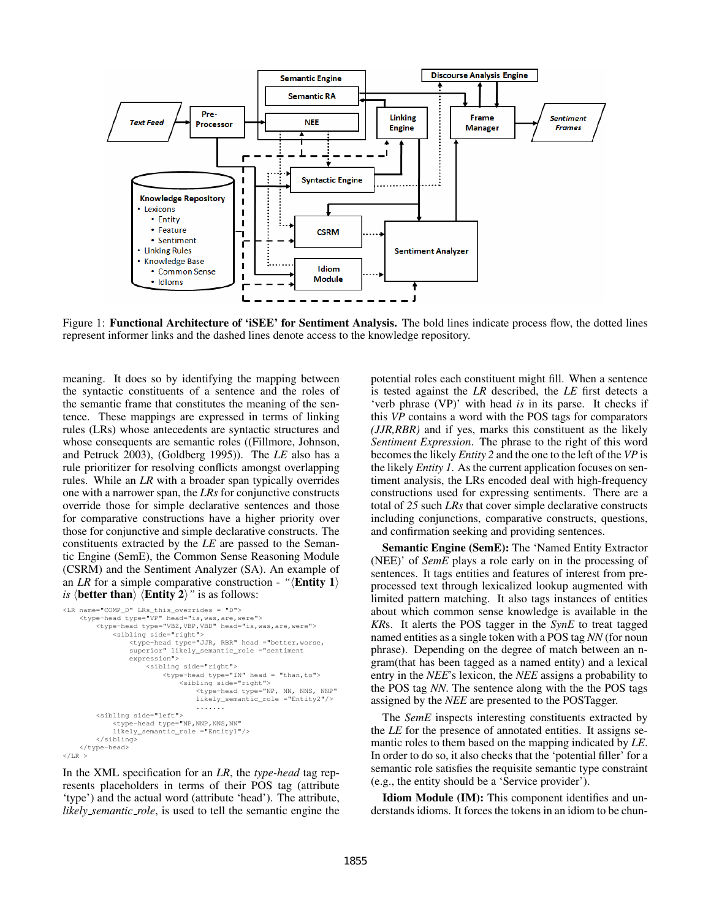

Figure 1: Functional Architecture of 'iSEE' for Sentiment Analysis. The bold lines indicate process flow, the dotted lines represent informer links and the dashed lines denote access to the knowledge repository.

meaning. It does so by identifying the mapping between the syntactic constituents of a sentence and the roles of the semantic frame that constitutes the meaning of the sentence. These mappings are expressed in terms of linking rules (LRs) whose antecedents are syntactic structures and whose consequents are semantic roles ((Fillmore, Johnson, and Petruck 2003), (Goldberg 1995)). The *LE* also has a rule prioritizer for resolving conflicts amongst overlapping rules. While an *LR* with a broader span typically overrides one with a narrower span, the *LRs* for conjunctive constructs override those for simple declarative sentences and those for comparative constructions have a higher priority over those for conjunctive and simple declarative constructs. The constituents extracted by the *LE* are passed to the Semantic Engine (SemE), the Common Sense Reasoning Module (CSRM) and the Sentiment Analyzer (SA). An example of an *LR* for a simple comparative construction - " $\langle$ **Entity 1**) *is*  $\langle$  **better than** $\rangle$   $\langle$  **Entity 2** $\rangle$ " is as follows:

```
<LR name="COMP_D" LRs_this_overrides = "D">
     <type-head type="VP" head="is,was,are,were">
<type-head type="VBZ,VBP,VBD" head="is,was,are,were">
<sibling side="right">
                  <type-head type="JJR, RBR" head ="better,worse,
                  superior" likely_semantic_role ="sentiment
                  expression">
                       <sibling side="right">
                            <type-head type="IN" head = "than,to">
                                 <sibling side="right">
                                     <type-head type="NP, NN, NNS, NNP"
                                     likely_semantic_role ="Entity2"/>
                                     .......
         <sibling side="left">
              <type-head type="NP,NNP,NNS,NN"
             likely_semantic_role ="Entity1"/>
         </sibling>
    </type-head>
Z/T.R >
```
In the XML specification for an *LR*, the *type-head* tag represents placeholders in terms of their POS tag (attribute 'type') and the actual word (attribute 'head'). The attribute, *likely semantic role*, is used to tell the semantic engine the

potential roles each constituent might fill. When a sentence is tested against the *LR* described, the *LE* first detects a 'verb phrase (VP)' with head *is* in its parse. It checks if this *VP* contains a word with the POS tags for comparators *(JJR,RBR)* and if yes, marks this constituent as the likely *Sentiment Expression*. The phrase to the right of this word becomes the likely *Entity 2* and the one to the left of the *VP* is the likely *Entity 1*. As the current application focuses on sentiment analysis, the LRs encoded deal with high-frequency constructions used for expressing sentiments. There are a total of *25* such *LRs* that cover simple declarative constructs including conjunctions, comparative constructs, questions, and confirmation seeking and providing sentences.

Semantic Engine (SemE): The 'Named Entity Extractor (NEE)' of *SemE* plays a role early on in the processing of sentences. It tags entities and features of interest from preprocessed text through lexicalized lookup augmented with limited pattern matching. It also tags instances of entities about which common sense knowledge is available in the *KR*s. It alerts the POS tagger in the *SynE* to treat tagged named entities as a single token with a POS tag *NN* (for noun phrase). Depending on the degree of match between an ngram(that has been tagged as a named entity) and a lexical entry in the *NEE*'s lexicon, the *NEE* assigns a probability to the POS tag *NN*. The sentence along with the the POS tags assigned by the *NEE* are presented to the POSTagger.

The *SemE* inspects interesting constituents extracted by the *LE* for the presence of annotated entities. It assigns semantic roles to them based on the mapping indicated by *LE*. In order to do so, it also checks that the 'potential filler' for a semantic role satisfies the requisite semantic type constraint (e.g., the entity should be a 'Service provider').

Idiom Module (IM): This component identifies and understands idioms. It forces the tokens in an idiom to be chun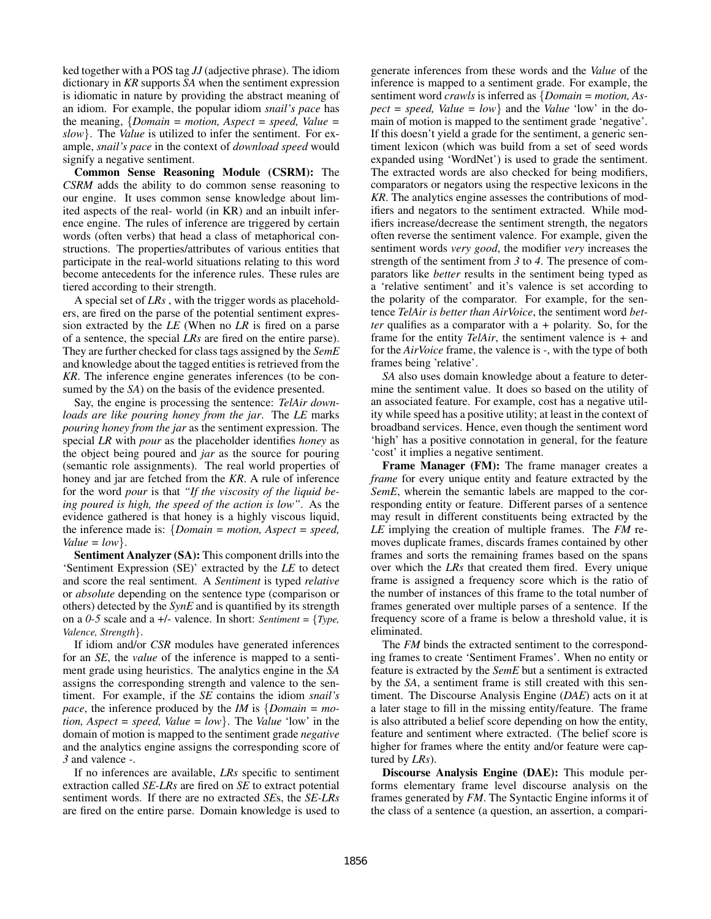ked together with a POS tag *JJ* (adjective phrase). The idiom dictionary in *KR* supports *SA* when the sentiment expression is idiomatic in nature by providing the abstract meaning of an idiom. For example, the popular idiom *snail's pace* has the meaning, {*Domain = motion, Aspect = speed, Value = slow*}. The *Value* is utilized to infer the sentiment. For example, *snail's pace* in the context of *download speed* would signify a negative sentiment.

Common Sense Reasoning Module (CSRM): The *CSRM* adds the ability to do common sense reasoning to our engine. It uses common sense knowledge about limited aspects of the real- world (in KR) and an inbuilt inference engine. The rules of inference are triggered by certain words (often verbs) that head a class of metaphorical constructions. The properties/attributes of various entities that participate in the real-world situations relating to this word become antecedents for the inference rules. These rules are tiered according to their strength.

A special set of *LRs* , with the trigger words as placeholders, are fired on the parse of the potential sentiment expression extracted by the *LE* (When no *LR* is fired on a parse of a sentence, the special *LRs* are fired on the entire parse). They are further checked for class tags assigned by the *SemE* and knowledge about the tagged entities is retrieved from the *KR*. The inference engine generates inferences (to be consumed by the *SA*) on the basis of the evidence presented.

Say, the engine is processing the sentence: *TelAir downloads are like pouring honey from the jar*. The *LE* marks *pouring honey from the jar* as the sentiment expression. The special *LR* with *pour* as the placeholder identifies *honey* as the object being poured and *jar* as the source for pouring (semantic role assignments). The real world properties of honey and jar are fetched from the *KR*. A rule of inference for the word *pour* is that *"If the viscosity of the liquid being poured is high, the speed of the action is low"*. As the evidence gathered is that honey is a highly viscous liquid, the inference made is: {*Domain = motion, Aspect = speed, Value = low*}.

Sentiment Analyzer (SA): This component drills into the 'Sentiment Expression (SE)' extracted by the *LE* to detect and score the real sentiment. A *Sentiment* is typed *relative* or *absolute* depending on the sentence type (comparison or others) detected by the *SynE* and is quantified by its strength on a *0-5* scale and a +/- valence. In short: *Sentiment =* {*Type, Valence, Strength*}.

If idiom and/or *CSR* modules have generated inferences for an *SE*, the *value* of the inference is mapped to a sentiment grade using heuristics. The analytics engine in the *SA* assigns the corresponding strength and valence to the sentiment. For example, if the *SE* contains the idiom *snail's pace*, the inference produced by the *IM* is {*Domain = motion, Aspect = speed, Value = low*}. The *Value* 'low' in the domain of motion is mapped to the sentiment grade *negative* and the analytics engine assigns the corresponding score of *3* and valence *-*.

If no inferences are available, *LRs* specific to sentiment extraction called *SE-LRs* are fired on *SE* to extract potential sentiment words. If there are no extracted *SE*s, the *SE-LRs* are fired on the entire parse. Domain knowledge is used to generate inferences from these words and the *Value* of the inference is mapped to a sentiment grade. For example, the sentiment word *crawls* is inferred as {*Domain = motion, As* $pect = speed$ ,  $Value = low$ } and the *Value* 'low' in the domain of motion is mapped to the sentiment grade 'negative'. If this doesn't yield a grade for the sentiment, a generic sentiment lexicon (which was build from a set of seed words expanded using 'WordNet') is used to grade the sentiment. The extracted words are also checked for being modifiers, comparators or negators using the respective lexicons in the *KR*. The analytics engine assesses the contributions of modifiers and negators to the sentiment extracted. While modifiers increase/decrease the sentiment strength, the negators often reverse the sentiment valence. For example, given the sentiment words *very good*, the modifier *very* increases the strength of the sentiment from *3* to *4*. The presence of comparators like *better* results in the sentiment being typed as a 'relative sentiment' and it's valence is set according to the polarity of the comparator. For example, for the sentence *TelAir is better than AirVoice*, the sentiment word *better* qualifies as a comparator with a *+* polarity. So, for the frame for the entity *TelAir*, the sentiment valence is *+* and for the *AirVoice* frame, the valence is *-*, with the type of both frames being 'relative'.

*SA* also uses domain knowledge about a feature to determine the sentiment value. It does so based on the utility of an associated feature. For example, cost has a negative utility while speed has a positive utility; at least in the context of broadband services. Hence, even though the sentiment word 'high' has a positive connotation in general, for the feature 'cost' it implies a negative sentiment.

Frame Manager (FM): The frame manager creates a *frame* for every unique entity and feature extracted by the *SemE*, wherein the semantic labels are mapped to the corresponding entity or feature. Different parses of a sentence may result in different constituents being extracted by the *LE* implying the creation of multiple frames. The *FM* removes duplicate frames, discards frames contained by other frames and sorts the remaining frames based on the spans over which the *LRs* that created them fired. Every unique frame is assigned a frequency score which is the ratio of the number of instances of this frame to the total number of frames generated over multiple parses of a sentence. If the frequency score of a frame is below a threshold value, it is eliminated.

The *FM* binds the extracted sentiment to the corresponding frames to create 'Sentiment Frames'. When no entity or feature is extracted by the *SemE* but a sentiment is extracted by the *SA*, a sentiment frame is still created with this sentiment. The Discourse Analysis Engine (*DAE*) acts on it at a later stage to fill in the missing entity/feature. The frame is also attributed a belief score depending on how the entity, feature and sentiment where extracted. (The belief score is higher for frames where the entity and/or feature were captured by *LRs*).

Discourse Analysis Engine (DAE): This module performs elementary frame level discourse analysis on the frames generated by *FM*. The Syntactic Engine informs it of the class of a sentence (a question, an assertion, a compari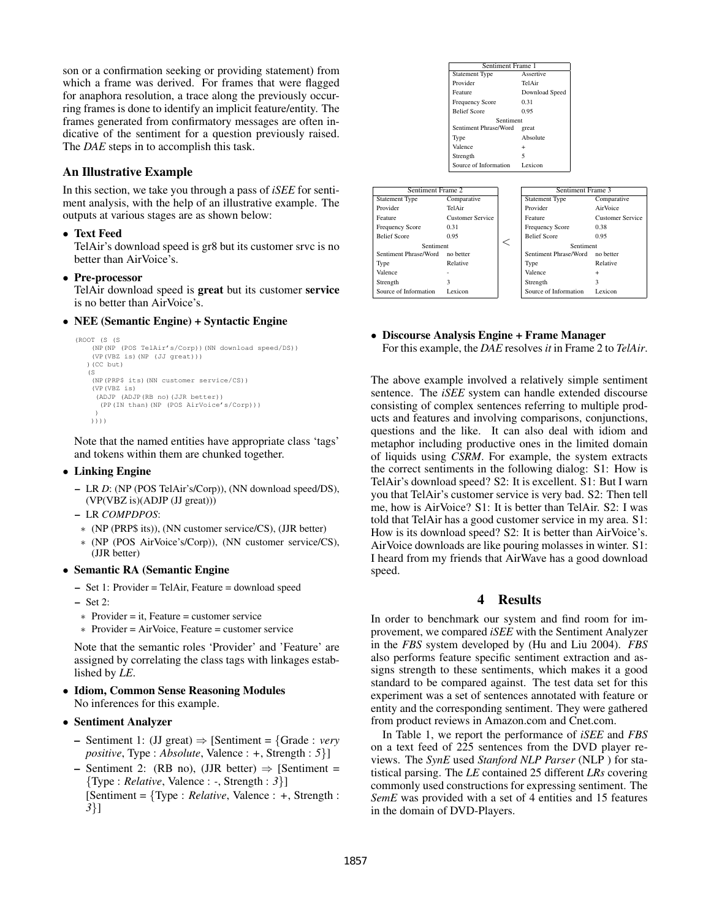son or a confirmation seeking or providing statement) from which a frame was derived. For frames that were flagged for anaphora resolution, a trace along the previously occurring frames is done to identify an implicit feature/entity. The frames generated from confirmatory messages are often indicative of the sentiment for a question previously raised. The *DAE* steps in to accomplish this task.

## An Illustrative Example

In this section, we take you through a pass of *iSEE* for sentiment analysis, with the help of an illustrative example. The outputs at various stages are as shown below:

• Text Feed

TelAir's download speed is gr8 but its customer srvc is no better than AirVoice's.

• Pre-processor

TelAir download speed is great but its customer service is no better than AirVoice's.

• NEE (Semantic Engine) + Syntactic Engine

```
(ROOT (S (S
    (NP(NP (POS TelAir's/Corp))(NN download speed/DS))
(VP(VBZ is)(NP (JJ great)))
  )(CC but)
   (S
    (NP(PRP$ its)(NN customer service/CS))
    (VP(VBZ is)
     (ADJP (ADJP(RB no)(JJR better))
      (PP(IN than)(NP (POS AirVoice's/Corp)))
     )
   ))))
```
Note that the named entities have appropriate class 'tags' and tokens within them are chunked together.

#### • Linking Engine

- LR *D*: (NP (POS TelAir's/Corp)), (NN download speed/DS), (VP(VBZ is)(ADJP (JJ great)))
- LR *COMPDPOS*:
- ∗ (NP (PRP\$ its)), (NN customer service/CS), (JJR better)
- ∗ (NP (POS AirVoice's/Corp)), (NN customer service/CS), (JJR better)

#### • Semantic RA (Semantic Engine

- Set 1: Provider = TelAir, Feature = download speed
- Set 2:
- ∗ Provider = it, Feature = customer service
- ∗ Provider = AirVoice, Feature = customer service

Note that the semantic roles 'Provider' and 'Feature' are assigned by correlating the class tags with linkages established by *LE*.

#### • Idiom, Common Sense Reasoning Modules No inferences for this example.

#### • Sentiment Analyzer

- Sentiment 1: (JJ great) ⇒ [Sentiment = {Grade : *very positive*, Type : *Absolute*, Valence : *+*, Strength : *5*}]
- Sentiment 2: (RB no), (JJR better)  $\Rightarrow$  [Sentiment = {Type : *Relative*, Valence : *-*, Strength : *3*}] [Sentiment = {Type : *Relative*, Valence : *+*, Strength : *3*}]



#### • Discourse Analysis Engine + Frame Manager For this example, the *DAE* resolves *it* in Frame 2 to *TelAir*.

The above example involved a relatively simple sentiment sentence. The *iSEE* system can handle extended discourse consisting of complex sentences referring to multiple products and features and involving comparisons, conjunctions, questions and the like. It can also deal with idiom and metaphor including productive ones in the limited domain of liquids using *CSRM*. For example, the system extracts the correct sentiments in the following dialog: S1: How is TelAir's download speed? S2: It is excellent. S1: But I warn you that TelAir's customer service is very bad. S2: Then tell me, how is AirVoice? S1: It is better than TelAir. S2: I was told that TelAir has a good customer service in my area. S1: How is its download speed? S2: It is better than AirVoice's. AirVoice downloads are like pouring molasses in winter. S1: I heard from my friends that AirWave has a good download speed.

### 4 Results

In order to benchmark our system and find room for improvement, we compared *iSEE* with the Sentiment Analyzer in the *FBS* system developed by (Hu and Liu 2004). *FBS* also performs feature specific sentiment extraction and assigns strength to these sentiments, which makes it a good standard to be compared against. The test data set for this experiment was a set of sentences annotated with feature or entity and the corresponding sentiment. They were gathered from product reviews in Amazon.com and Cnet.com.

In Table 1, we report the performance of *iSEE* and *FBS* on a text feed of 225 sentences from the DVD player reviews. The *SynE* used *Stanford NLP Parser* (NLP ) for statistical parsing. The *LE* contained 25 different *LRs* covering commonly used constructions for expressing sentiment. The *SemE* was provided with a set of 4 entities and 15 features in the domain of DVD-Players.